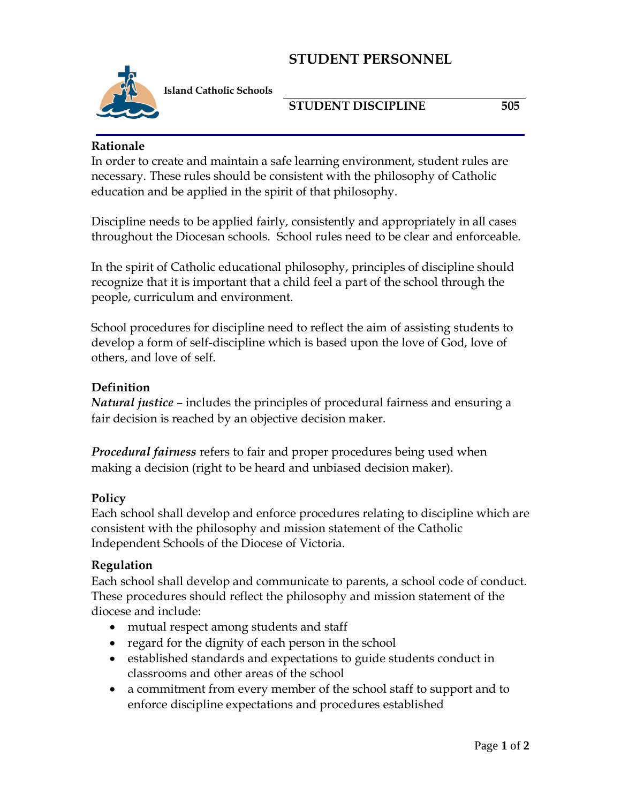# **STUDENT PERSONNEL**



**Island Catholic Schools** 

### **STUDENT DISCIPLINE 505**

#### **Rationale**

In order to create and maintain a safe learning environment, student rules are necessary. These rules should be consistent with the philosophy of Catholic education and be applied in the spirit of that philosophy.

Discipline needs to be applied fairly, consistently and appropriately in all cases throughout the Diocesan schools. School rules need to be clear and enforceable.

In the spirit of Catholic educational philosophy, principles of discipline should recognize that it is important that a child feel a part of the school through the people, curriculum and environment.

School procedures for discipline need to reflect the aim of assisting students to develop a form of self-discipline which is based upon the love of God, love of others, and love of self.

### **Definition**

*Natural justice* – includes the principles of procedural fairness and ensuring a fair decision is reached by an objective decision maker.

*Procedural fairness* refers to fair and proper procedures being used when making a decision (right to be heard and unbiased decision maker).

### **Policy**

Each school shall develop and enforce procedures relating to discipline which are consistent with the philosophy and mission statement of the Catholic Independent Schools of the Diocese of Victoria.

### **Regulation**

Each school shall develop and communicate to parents, a school code of conduct. These procedures should reflect the philosophy and mission statement of the diocese and include:

- mutual respect among students and staff
- regard for the dignity of each person in the school
- established standards and expectations to guide students conduct in classrooms and other areas of the school
- a commitment from every member of the school staff to support and to enforce discipline expectations and procedures established